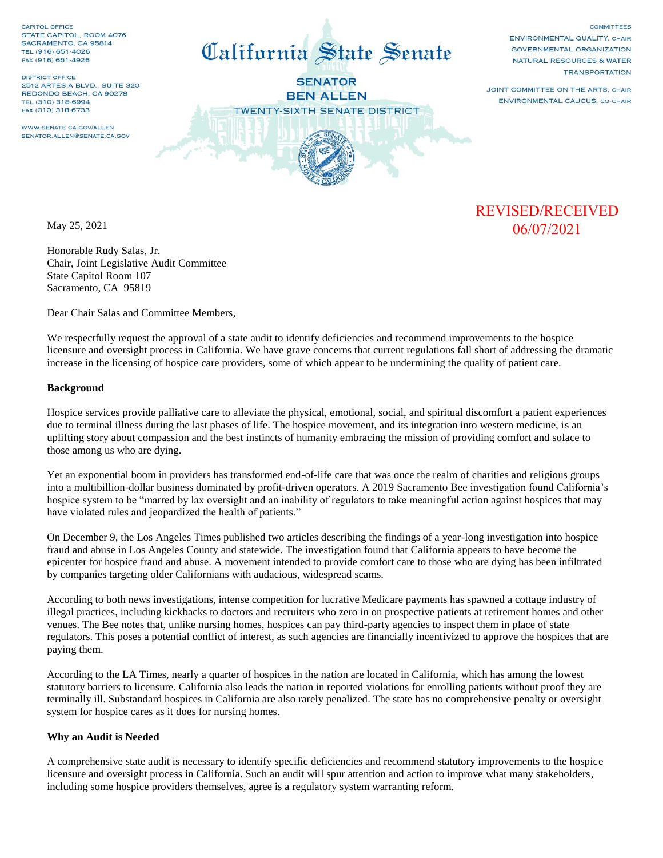CAPITOL OFFICE STATE CAPITOL, ROOM 4076 SACRAMENTO, CA 95814 TEL (916) 651-4026 FAX (916) 651-4926

**DISTRICT OFFICE** 2512 ARTESIA BLVD., SUITE 320 REDONDO BEACH, CA 90278 TEL (310) 318-6994 FAX (310) 318-6733

WWW.SENATE.CA.GOV/ALLEN SENATOR ALLEN@SENATE CA GOV



**SENATOR BEN ALLEN TWENTY-SIXTH SENATE DISTRICT** 

COMMITTEES ENVIRONMENTAL QUALITY, CHAIR **GOVERNMENTAL ORGANIZATION** NATURAL RESOURCES & WATER **TRANSPORTATION** 

JOINT COMMITTEE ON THE ARTS, CHAIR ENVIRONMENTAL CAUCUS, CO-CHAIR

May 25, 2021

Honorable Rudy Salas, Jr. Chair, Joint Legislative Audit Committee State Capitol Room 107 Sacramento, CA 95819

Dear Chair Salas and Committee Members,

We respectfully request the approval of a state audit to identify deficiencies and recommend improvements to the hospice licensure and oversight process in California. We have grave concerns that current regulations fall short of addressing the dramatic increase in the licensing of hospice care providers, some of which appear to be undermining the quality of patient care.

#### **Background**

Hospice services provide palliative care to alleviate the physical, emotional, social, and spiritual discomfort a patient experiences due to terminal illness during the last phases of life. The hospice movement, and its integration into western medicine, is an uplifting story about compassion and the best instincts of humanity embracing the mission of providing comfort and solace to those among us who are dying.

Yet an exponential boom in providers has transformed end-of-life care that was once the realm of charities and religious groups into a multibillion-dollar business dominated by profit-driven operators. A 2019 Sacramento Bee investigation found California's hospice system to be "marred by lax oversight and an inability of regulators to take meaningful action against hospices that may have violated rules and jeopardized the health of patients."

On December 9, the Los Angeles Times published two articles describing the findings of a year-long investigation into hospice fraud and abuse in Los Angeles County and statewide. The investigation found that California appears to have become the epicenter for hospice fraud and abuse. A movement intended to provide comfort care to those who are dying has been infiltrated by companies targeting older Californians with audacious, widespread scams.

According to both news investigations, intense competition for lucrative Medicare payments has spawned a cottage industry of illegal practices, including kickbacks to doctors and recruiters who zero in on prospective patients at retirement homes and other venues. The Bee notes that, unlike nursing homes, hospices can pay third-party agencies to inspect them in place of state regulators. This poses a potential conflict of interest, as such agencies are financially incentivized to approve the hospices that are paying them.

According to the LA Times, nearly a quarter of hospices in the nation are located in California, which has among the lowest statutory barriers to licensure. California also leads the nation in reported violations for enrolling patients without proof they are terminally ill. Substandard hospices in California are also rarely penalized. The state has no comprehensive penalty or oversight system for hospice cares as it does for nursing homes.

### **Why an Audit is Needed**

A comprehensive state audit is necessary to identify specific deficiencies and recommend statutory improvements to the hospice licensure and oversight process in California. Such an audit will spur attention and action to improve what many stakeholders, including some hospice providers themselves, agree is a regulatory system warranting reform.

# REVISED/RECEIVED 06/07/2021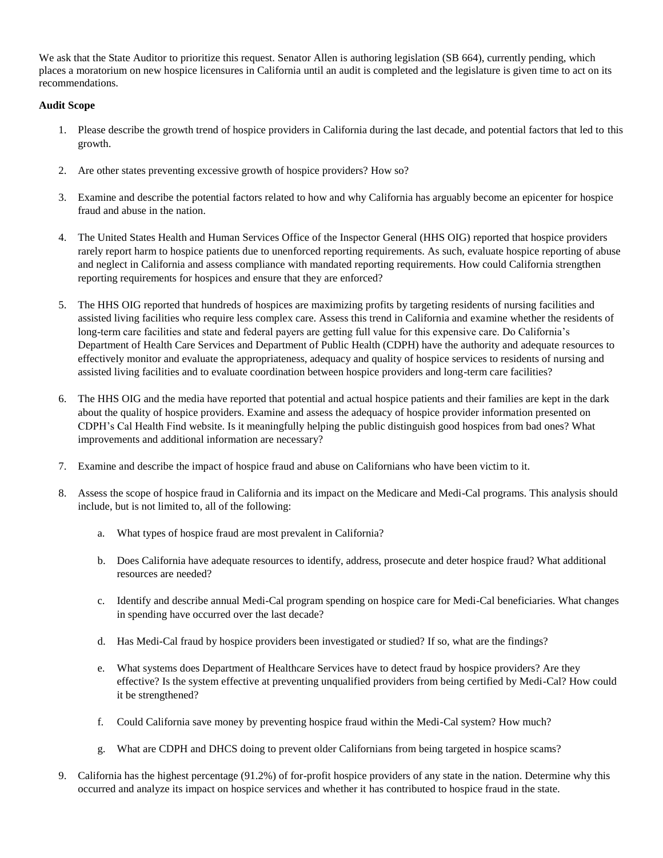We ask that the State Auditor to prioritize this request. Senator Allen is authoring legislation (SB 664), currently pending, which places a moratorium on new hospice licensures in California until an audit is completed and the legislature is given time to act on its recommendations.

## **Audit Scope**

- 1. Please describe the growth trend of hospice providers in California during the last decade, and potential factors that led to this growth.
- 2. Are other states preventing excessive growth of hospice providers? How so?
- 3. Examine and describe the potential factors related to how and why California has arguably become an epicenter for hospice fraud and abuse in the nation.
- 4. The United States Health and Human Services Office of the Inspector General (HHS OIG) reported that hospice providers rarely report harm to hospice patients due to unenforced reporting requirements. As such, evaluate hospice reporting of abuse and neglect in California and assess compliance with mandated reporting requirements. How could California strengthen reporting requirements for hospices and ensure that they are enforced?
- 5. The HHS OIG reported that hundreds of hospices are maximizing profits by targeting residents of nursing facilities and assisted living facilities who require less complex care. Assess this trend in California and examine whether the residents of long-term care facilities and state and federal payers are getting full value for this expensive care. Do California's Department of Health Care Services and Department of Public Health (CDPH) have the authority and adequate resources to effectively monitor and evaluate the appropriateness, adequacy and quality of hospice services to residents of nursing and assisted living facilities and to evaluate coordination between hospice providers and long-term care facilities?
- 6. The HHS OIG and the media have reported that potential and actual hospice patients and their families are kept in the dark about the quality of hospice providers. Examine and assess the adequacy of hospice provider information presented on CDPH's Cal Health Find website. Is it meaningfully helping the public distinguish good hospices from bad ones? What improvements and additional information are necessary?
- 7. Examine and describe the impact of hospice fraud and abuse on Californians who have been victim to it.
- 8. Assess the scope of hospice fraud in California and its impact on the Medicare and Medi-Cal programs. This analysis should include, but is not limited to, all of the following:
	- a. What types of hospice fraud are most prevalent in California?
	- b. Does California have adequate resources to identify, address, prosecute and deter hospice fraud? What additional resources are needed?
	- c. Identify and describe annual Medi-Cal program spending on hospice care for Medi-Cal beneficiaries. What changes in spending have occurred over the last decade?
	- d. Has Medi-Cal fraud by hospice providers been investigated or studied? If so, what are the findings?
	- e. What systems does Department of Healthcare Services have to detect fraud by hospice providers? Are they effective? Is the system effective at preventing unqualified providers from being certified by Medi-Cal? How could it be strengthened?
	- f. Could California save money by preventing hospice fraud within the Medi-Cal system? How much?
	- g. What are CDPH and DHCS doing to prevent older Californians from being targeted in hospice scams?
- 9. California has the highest percentage (91.2%) of for-profit hospice providers of any state in the nation. Determine why this occurred and analyze its impact on hospice services and whether it has contributed to hospice fraud in the state.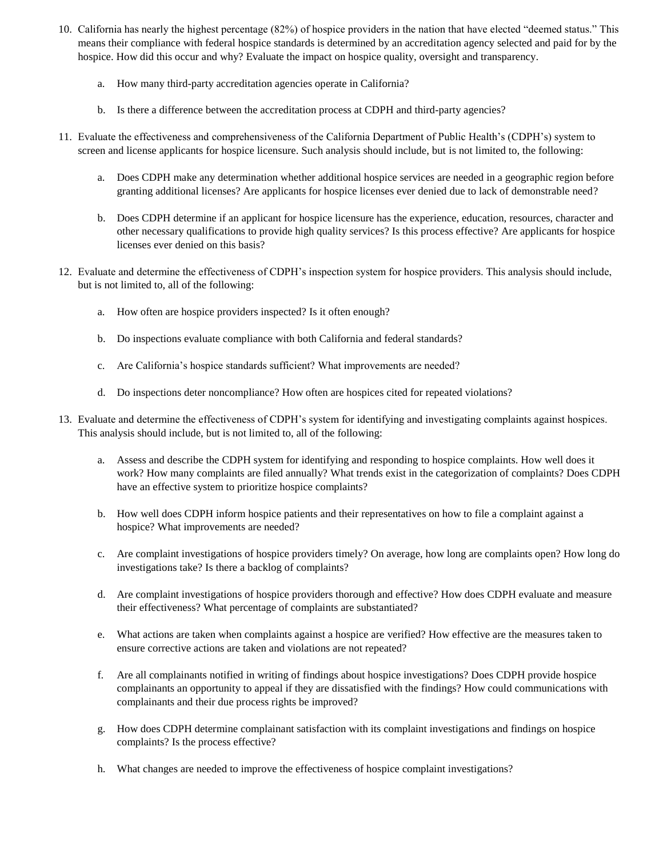- 10. California has nearly the highest percentage (82%) of hospice providers in the nation that have elected "deemed status." This means their compliance with federal hospice standards is determined by an accreditation agency selected and paid for by the hospice. How did this occur and why? Evaluate the impact on hospice quality, oversight and transparency.
	- a. How many third-party accreditation agencies operate in California?
	- b. Is there a difference between the accreditation process at CDPH and third-party agencies?
- 11. Evaluate the effectiveness and comprehensiveness of the California Department of Public Health's (CDPH's) system to screen and license applicants for hospice licensure. Such analysis should include, but is not limited to, the following:
	- a. Does CDPH make any determination whether additional hospice services are needed in a geographic region before granting additional licenses? Are applicants for hospice licenses ever denied due to lack of demonstrable need?
	- b. Does CDPH determine if an applicant for hospice licensure has the experience, education, resources, character and other necessary qualifications to provide high quality services? Is this process effective? Are applicants for hospice licenses ever denied on this basis?
- 12. Evaluate and determine the effectiveness of CDPH's inspection system for hospice providers. This analysis should include, but is not limited to, all of the following:
	- a. How often are hospice providers inspected? Is it often enough?
	- b. Do inspections evaluate compliance with both California and federal standards?
	- c. Are California's hospice standards sufficient? What improvements are needed?
	- d. Do inspections deter noncompliance? How often are hospices cited for repeated violations?
- 13. Evaluate and determine the effectiveness of CDPH's system for identifying and investigating complaints against hospices. This analysis should include, but is not limited to, all of the following:
	- a. Assess and describe the CDPH system for identifying and responding to hospice complaints. How well does it work? How many complaints are filed annually? What trends exist in the categorization of complaints? Does CDPH have an effective system to prioritize hospice complaints?
	- b. How well does CDPH inform hospice patients and their representatives on how to file a complaint against a hospice? What improvements are needed?
	- c. Are complaint investigations of hospice providers timely? On average, how long are complaints open? How long do investigations take? Is there a backlog of complaints?
	- d. Are complaint investigations of hospice providers thorough and effective? How does CDPH evaluate and measure their effectiveness? What percentage of complaints are substantiated?
	- e. What actions are taken when complaints against a hospice are verified? How effective are the measures taken to ensure corrective actions are taken and violations are not repeated?
	- f. Are all complainants notified in writing of findings about hospice investigations? Does CDPH provide hospice complainants an opportunity to appeal if they are dissatisfied with the findings? How could communications with complainants and their due process rights be improved?
	- g. How does CDPH determine complainant satisfaction with its complaint investigations and findings on hospice complaints? Is the process effective?
	- h. What changes are needed to improve the effectiveness of hospice complaint investigations?